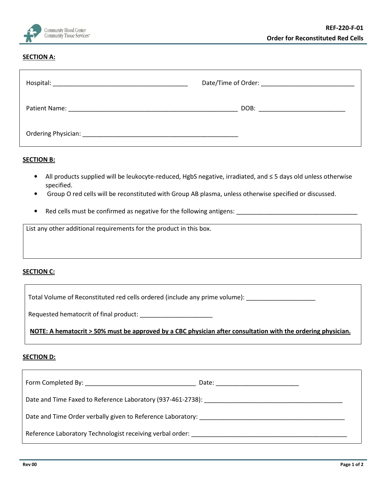

## **SECTION A:**

| Hospital:                                                                                                                                                                                                                      |                                  |
|--------------------------------------------------------------------------------------------------------------------------------------------------------------------------------------------------------------------------------|----------------------------------|
|                                                                                                                                                                                                                                | DOB: ___________________________ |
| Ordering Physician: National Accounts of the Contract of the Contract of the Contract of the Contract of the Contract of the Contract of the Contract of the Contract of the Contract of the Contract of the Contract of the C |                                  |

## **SECTION B:**

- All products supplied will be leukocyte-reduced, HgbS negative, irradiated, and ≤ 5 days old unless otherwise specified.
- Group O red cells will be reconstituted with Group AB plasma, unless otherwise specified or discussed.
- Red cells must be confirmed as negative for the following antigens: \_\_\_\_\_\_\_\_\_\_\_\_\_

List any other additional requirements for the product in this box.

## SECTION C:

Total Volume of Reconstituted red cells ordered (include any prime volume): \_\_\_\_\_\_\_\_\_\_\_\_\_\_\_\_\_\_\_\_\_\_\_

Requested hematocrit of final product:

NOTE: A hematocrit > 50% must be approved by a CBC physician after consultation with the ordering physician.

## **SECTION D:**

| Date and Time Faxed to Reference Laboratory (937-461-2738): [1986] The Case of the Case of the Case of the Cas |  |  |  |  |
|----------------------------------------------------------------------------------------------------------------|--|--|--|--|
|                                                                                                                |  |  |  |  |
| Reference Laboratory Technologist receiving verbal order:                                                      |  |  |  |  |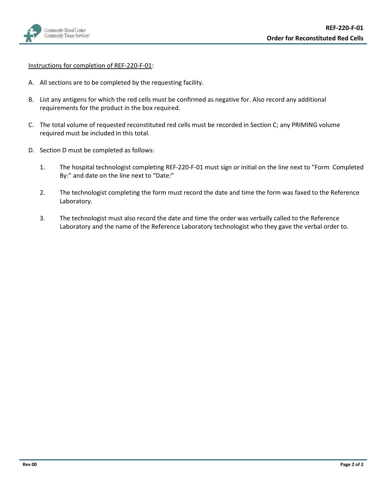

Instructions for completion of REF-220-F-01:

- A. All sections are to be completed by the requesting facility.
- B. List any antigens for which the red cells must be confirmed as negative for. Also record any additional requirements for the product in the box required.
- C. The total volume of requested reconstituted red cells must be recorded in Section C; any PRIMING volume required must be included in this total.
- D. Section D must be completed as follows:
	- 1. The hospital technologist completing REF-220-F-01 must sign or initial on the line next to "Form Completed By:" and date on the line next to "Date:"
	- 2. The technologist completing the form must record the date and time the form was faxed to the Reference Laboratory.
	- 3. The technologist must also record the date and time the order was verbally called to the Reference Laboratory and the name of the Reference Laboratory technologist who they gave the verbal order to.